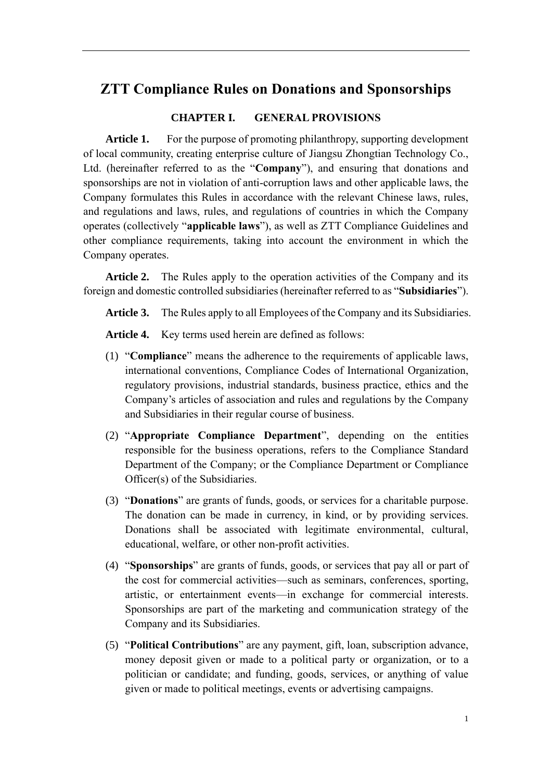# **ZTT Compliance Rules on Donations and Sponsorships**

# **CHAPTER I. GENERAL PROVISIONS**

**Article 1.** For the purpose of promoting philanthropy, supporting development of local community, creating enterprise culture of Jiangsu Zhongtian Technology Co., Ltd. (hereinafter referred to as the "**Company**"), and ensuring that donations and sponsorships are not in violation of anti-corruption laws and other applicable laws, the Company formulates this Rules in accordance with the relevant Chinese laws, rules, and regulations and laws, rules, and regulations of countries in which the Company operates (collectively "**applicable laws**"), as well as ZTT Compliance Guidelines and other compliance requirements, taking into account the environment in which the Company operates.

**Article 2.** The Rules apply to the operation activities of the Company and its foreign and domestic controlled subsidiaries (hereinafter referred to as "**Subsidiaries**").

**Article 3.** The Rules apply to all Employees of the Company and its Subsidiaries.

**Article 4.** Key terms used herein are defined as follows:

- (1) "**Compliance**" means the adherence to the requirements of applicable laws, international conventions, Compliance Codes of International Organization, regulatory provisions, industrial standards, business practice, ethics and the Company's articles of association and rules and regulations by the Company and Subsidiaries in their regular course of business.
- (2) "**Appropriate Compliance Department**", depending on the entities responsible for the business operations, refers to the Compliance Standard Department of the Company; or the Compliance Department or Compliance Officer(s) of the Subsidiaries.
- (3) "**Donations**" are grants of funds, goods, or services for a charitable purpose. The donation can be made in currency, in kind, or by providing services. Donations shall be associated with legitimate environmental, cultural, educational, welfare, or other non-profit activities.
- (4) "**Sponsorships**" are grants of funds, goods, or services that pay all or part of the cost for commercial activities—such as seminars, conferences, sporting, artistic, or entertainment events—in exchange for commercial interests. Sponsorships are part of the marketing and communication strategy of the Company and its Subsidiaries.
- (5) "**Political Contributions**" are any payment, gift, loan, subscription advance, money deposit given or made to a political party or organization, or to a politician or candidate; and funding, goods, services, or anything of value given or made to political meetings, events or advertising campaigns.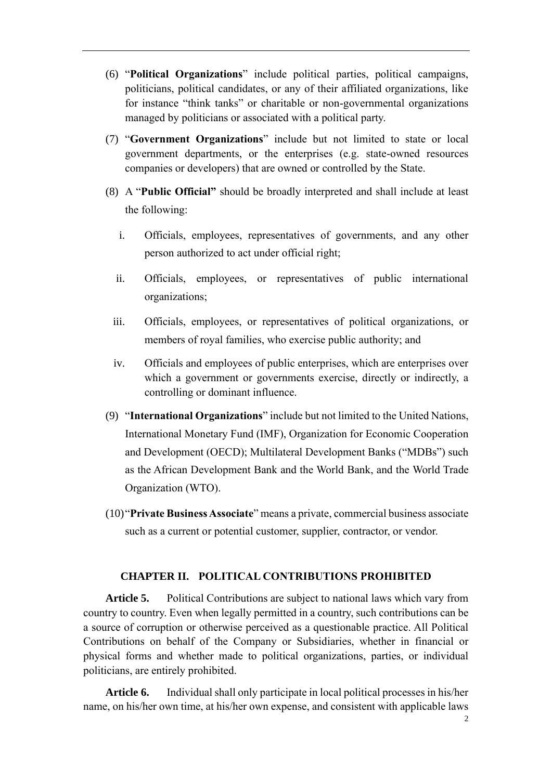- (6) "**Political Organizations**" include political parties, political campaigns, politicians, political candidates, or any of their affiliated organizations, like for instance "think tanks" or charitable or non-governmental organizations managed by politicians or associated with a political party.
- (7) "**Government Organizations**" include but not limited to state or local government departments, or the enterprises (e.g. state-owned resources companies or developers) that are owned or controlled by the State.
- (8) A "**Public Official"** should be broadly interpreted and shall include at least the following:
	- i. Officials, employees, representatives of governments, and any other person authorized to act under official right;
	- ii. Officials, employees, or representatives of public international organizations;
	- iii. Officials, employees, or representatives of political organizations, or members of royal families, who exercise public authority; and
	- iv. Officials and employees of public enterprises, which are enterprises over which a government or governments exercise, directly or indirectly, a controlling or dominant influence.
- (9) "**International Organizations**" include but not limited to the United Nations, International Monetary Fund (IMF), Organization for Economic Cooperation and Development (OECD); Multilateral Development Banks ("MDBs") such as the African Development Bank and the World Bank, and the World Trade Organization (WTO).
- (10)"**Private Business Associate**" means a private, commercial business associate such as a current or potential customer, supplier, contractor, or vendor.

### **CHAPTER II. POLITICAL CONTRIBUTIONS PROHIBITED**

**Article 5.** Political Contributions are subject to national laws which vary from country to country. Even when legally permitted in a country, such contributions can be a source of corruption or otherwise perceived as a questionable practice. All Political Contributions on behalf of the Company or Subsidiaries, whether in financial or physical forms and whether made to political organizations, parties, or individual politicians, are entirely prohibited.

**Article 6.** Individual shall only participate in local political processes in his/her name, on his/her own time, at his/her own expense, and consistent with applicable laws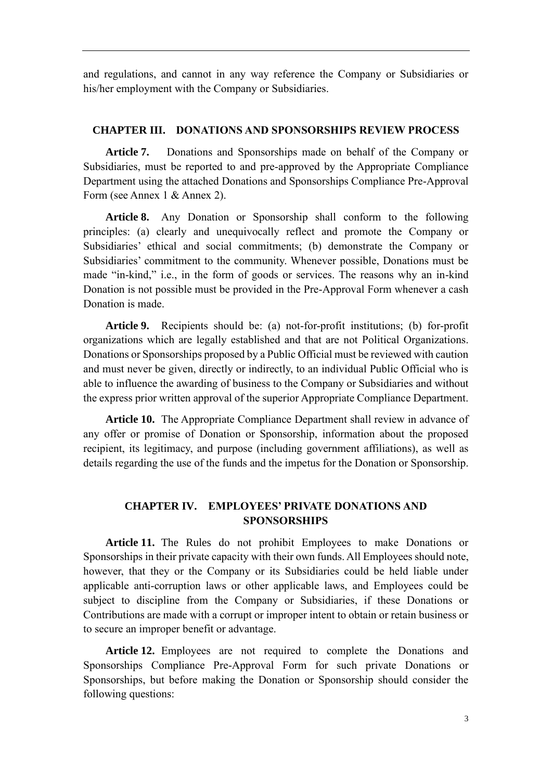and regulations, and cannot in any way reference the Company or Subsidiaries or his/her employment with the Company or Subsidiaries.

### **CHAPTER III. DONATIONS AND SPONSORSHIPS REVIEW PROCESS**

**Article 7.** Donations and Sponsorships made on behalf of the Company or Subsidiaries, must be reported to and pre-approved by the Appropriate Compliance Department using the attached Donations and Sponsorships Compliance Pre-Approval Form (see Annex 1 & Annex 2).

**Article 8.** Any Donation or Sponsorship shall conform to the following principles: (a) clearly and unequivocally reflect and promote the Company or Subsidiaries' ethical and social commitments; (b) demonstrate the Company or Subsidiaries' commitment to the community. Whenever possible, Donations must be made "in-kind," i.e., in the form of goods or services. The reasons why an in-kind Donation is not possible must be provided in the Pre-Approval Form whenever a cash Donation is made.

**Article 9.** Recipients should be: (a) not-for-profit institutions; (b) for-profit organizations which are legally established and that are not Political Organizations. Donations or Sponsorships proposed by a Public Official must be reviewed with caution and must never be given, directly or indirectly, to an individual Public Official who is able to influence the awarding of business to the Company or Subsidiaries and without the express prior written approval of the superior Appropriate Compliance Department.

**Article 10.** The Appropriate Compliance Department shall review in advance of any offer or promise of Donation or Sponsorship, information about the proposed recipient, its legitimacy, and purpose (including government affiliations), as well as details regarding the use of the funds and the impetus for the Donation or Sponsorship.

## **CHAPTER IV. EMPLOYEES' PRIVATE DONATIONS AND SPONSORSHIPS**

**Article 11.** The Rules do not prohibit Employees to make Donations or Sponsorships in their private capacity with their own funds. All Employees should note, however, that they or the Company or its Subsidiaries could be held liable under applicable anti-corruption laws or other applicable laws, and Employees could be subject to discipline from the Company or Subsidiaries, if these Donations or Contributions are made with a corrupt or improper intent to obtain or retain business or to secure an improper benefit or advantage.

**Article 12.** Employees are not required to complete the Donations and Sponsorships Compliance Pre-Approval Form for such private Donations or Sponsorships, but before making the Donation or Sponsorship should consider the following questions: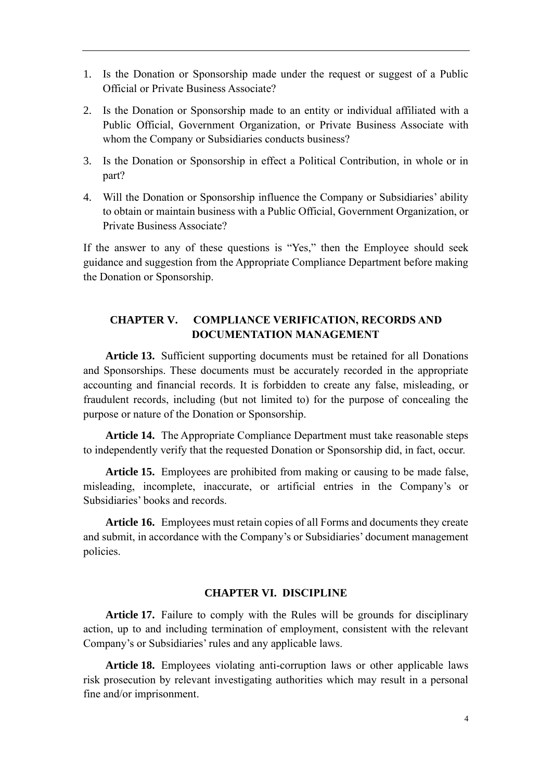- 1. Is the Donation or Sponsorship made under the request or suggest of a Public Official or Private Business Associate?
- 2. Is the Donation or Sponsorship made to an entity or individual affiliated with a Public Official, Government Organization, or Private Business Associate with whom the Company or Subsidiaries conducts business?
- 3. Is the Donation or Sponsorship in effect a Political Contribution, in whole or in part?
- 4. Will the Donation or Sponsorship influence the Company or Subsidiaries' ability to obtain or maintain business with a Public Official, Government Organization, or Private Business Associate?

If the answer to any of these questions is "Yes," then the Employee should seek guidance and suggestion from the Appropriate Compliance Department before making the Donation or Sponsorship.

# **CHAPTER V. COMPLIANCE VERIFICATION, RECORDS AND DOCUMENTATION MANAGEMENT**

**Article 13.** Sufficient supporting documents must be retained for all Donations and Sponsorships. These documents must be accurately recorded in the appropriate accounting and financial records. It is forbidden to create any false, misleading, or fraudulent records, including (but not limited to) for the purpose of concealing the purpose or nature of the Donation or Sponsorship.

**Article 14.** The Appropriate Compliance Department must take reasonable steps to independently verify that the requested Donation or Sponsorship did, in fact, occur.

**Article 15.** Employees are prohibited from making or causing to be made false, misleading, incomplete, inaccurate, or artificial entries in the Company's or Subsidiaries' books and records.

**Article 16.** Employees must retain copies of all Forms and documents they create and submit, in accordance with the Company's or Subsidiaries' document management policies.

#### **CHAPTER VI. DISCIPLINE**

**Article 17.** Failure to comply with the Rules will be grounds for disciplinary action, up to and including termination of employment, consistent with the relevant Company's or Subsidiaries' rules and any applicable laws.

**Article 18.** Employees violating anti-corruption laws or other applicable laws risk prosecution by relevant investigating authorities which may result in a personal fine and/or imprisonment.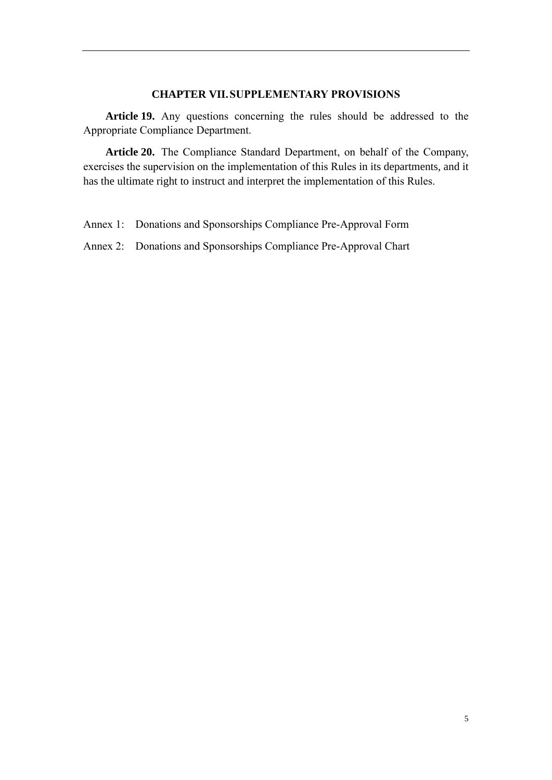#### **CHAPTER VII.SUPPLEMENTARY PROVISIONS**

**Article 19.** Any questions concerning the rules should be addressed to the Appropriate Compliance Department.

**Article 20.** The Compliance Standard Department, on behalf of the Company, exercises the supervision on the implementation of this Rules in its departments, and it has the ultimate right to instruct and interpret the implementation of this Rules.

Annex 1: Donations and Sponsorships Compliance Pre-Approval Form

Annex 2: Donations and Sponsorships Compliance Pre-Approval Chart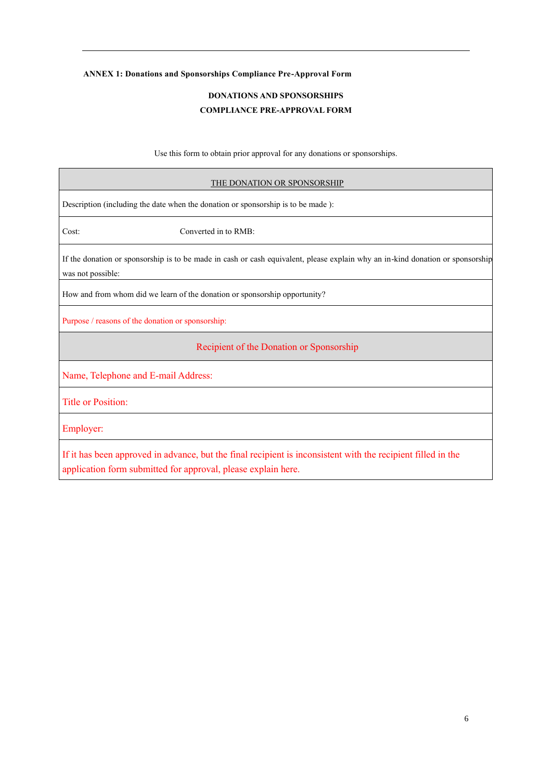### **ANNEX 1: Donations and Sponsorships Compliance Pre-Approval Form**

## **DONATIONS AND SPONSORSHIPS COMPLIANCE PRE-APPROVAL FORM**

Use this form to obtain prior approval for any donations or sponsorships.

| THE DONATION OR SPONSORSHIP                                                      |                                                                                                                                |  |  |  |
|----------------------------------------------------------------------------------|--------------------------------------------------------------------------------------------------------------------------------|--|--|--|
| Description (including the date when the donation or sponsorship is to be made): |                                                                                                                                |  |  |  |
| Cost:<br>Converted in to RMB:                                                    |                                                                                                                                |  |  |  |
| was not possible:                                                                | If the donation or sponsorship is to be made in cash or cash equivalent, please explain why an in-kind donation or sponsorship |  |  |  |
| How and from whom did we learn of the donation or sponsorship opportunity?       |                                                                                                                                |  |  |  |
| Purpose / reasons of the donation or sponsorship:                                |                                                                                                                                |  |  |  |
|                                                                                  | Recipient of the Donation or Sponsorship                                                                                       |  |  |  |
| Name, Telephone and E-mail Address:                                              |                                                                                                                                |  |  |  |
| <b>Title or Position:</b>                                                        |                                                                                                                                |  |  |  |
| Employer:                                                                        |                                                                                                                                |  |  |  |
| application form submitted for approval, please explain here.                    | If it has been approved in advance, but the final recipient is inconsistent with the recipient filled in the                   |  |  |  |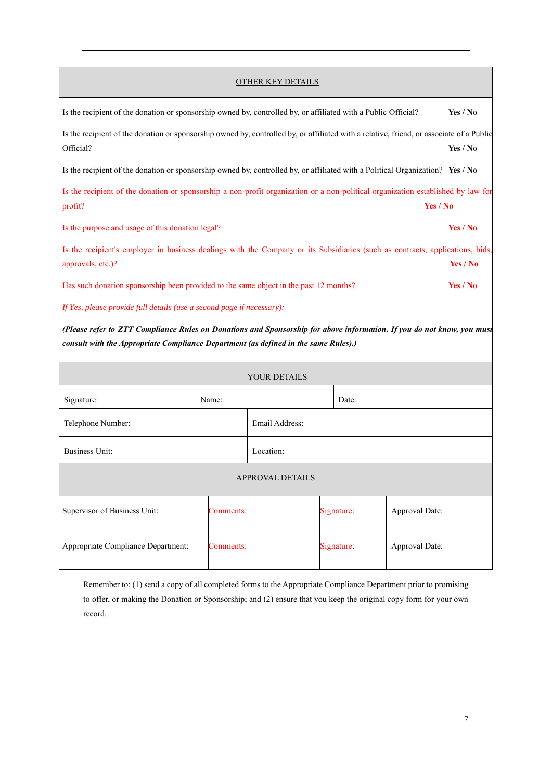#### OTHER KEY DETAILS

| Is the recipient of the donation or sponsorship owned by, controlled by, or affiliated with a Public Official?                                          | Yes / No |
|---------------------------------------------------------------------------------------------------------------------------------------------------------|----------|
| Is the recipient of the donation or sponsorship owned by, controlled by, or affiliated with a relative, friend, or associate of a Public<br>Official?   | Yes / No |
| Is the recipient of the donation or sponsorship owned by, controlled by, or affiliated with a Political Organization? Yes / No                          |          |
| Is the recipient of the donation or sponsorship a non-profit organization or a non-political organization established by law for<br>Yes / No<br>profit? |          |
| Is the purpose and usage of this donation legal?                                                                                                        | Yes / No |
| Is the recipient's employer in business dealings with the Company or its Subsidiaries (such as contracts, applications, bids,<br>approvals, etc.)?      | Yes / No |
| Has such donation sponsorship been provided to the same object in the past 12 months?                                                                   | Yes / No |
| If Yes, please provide full details (use a second page if necessary):                                                                                   |          |
|                                                                                                                                                         |          |

*(Please refer to ZTT Compliance Rules on Donations and Sponsorship for above information. If you do not know, you must consult with the Appropriate Compliance Department (as defined in the same Rules).)*

| YOUR DETAILS                       |                |                         |  |                |  |  |
|------------------------------------|----------------|-------------------------|--|----------------|--|--|
| Signature:                         | Name:          |                         |  | Date:          |  |  |
| Telephone Number:                  | Email Address: |                         |  |                |  |  |
| Business Unit:                     | Location:      |                         |  |                |  |  |
| APPROVAL DETAILS                   |                |                         |  |                |  |  |
| Supervisor of Business Unit:       |                | Signature:<br>Comments: |  | Approval Date: |  |  |
| Appropriate Compliance Department: |                | Signature:<br>Comments: |  | Approval Date: |  |  |

Remember to: (1) send a copy of all completed forms to the Appropriate Compliance Department prior to promising to offer, or making the Donation or Sponsorship; and (2) ensure that you keep the original copy form for your own record.